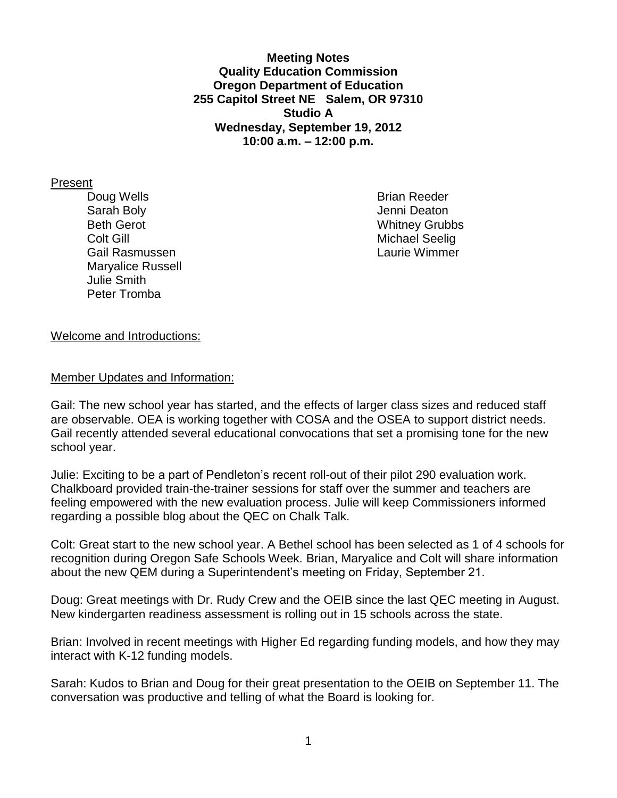**Meeting Notes Quality Education Commission Oregon Department of Education 255 Capitol Street NE Salem, OR 97310 Studio A Wednesday, September 19, 2012 10:00 a.m. – 12:00 p.m.**

Present

Doug Wells **Brian Reeder Brian Reeder** Sarah Boly **Sarah Boly Jenni Deaton** Beth Gerot Whitney Grubbs Colt Gill **Colt Gill** Michael Seelig Gail Rasmussen Laurie Wimmer Maryalice Russell Julie Smith Peter Tromba

#### Welcome and Introductions:

Member Updates and Information:

Gail: The new school year has started, and the effects of larger class sizes and reduced staff are observable. OEA is working together with COSA and the OSEA to support district needs. Gail recently attended several educational convocations that set a promising tone for the new school year.

Julie: Exciting to be a part of Pendleton's recent roll-out of their pilot 290 evaluation work. Chalkboard provided train-the-trainer sessions for staff over the summer and teachers are feeling empowered with the new evaluation process. Julie will keep Commissioners informed regarding a possible blog about the QEC on Chalk Talk.

Colt: Great start to the new school year. A Bethel school has been selected as 1 of 4 schools for recognition during Oregon Safe Schools Week. Brian, Maryalice and Colt will share information about the new QEM during a Superintendent's meeting on Friday, September 21.

Doug: Great meetings with Dr. Rudy Crew and the OEIB since the last QEC meeting in August. New kindergarten readiness assessment is rolling out in 15 schools across the state.

Brian: Involved in recent meetings with Higher Ed regarding funding models, and how they may interact with K-12 funding models.

Sarah: Kudos to Brian and Doug for their great presentation to the OEIB on September 11. The conversation was productive and telling of what the Board is looking for.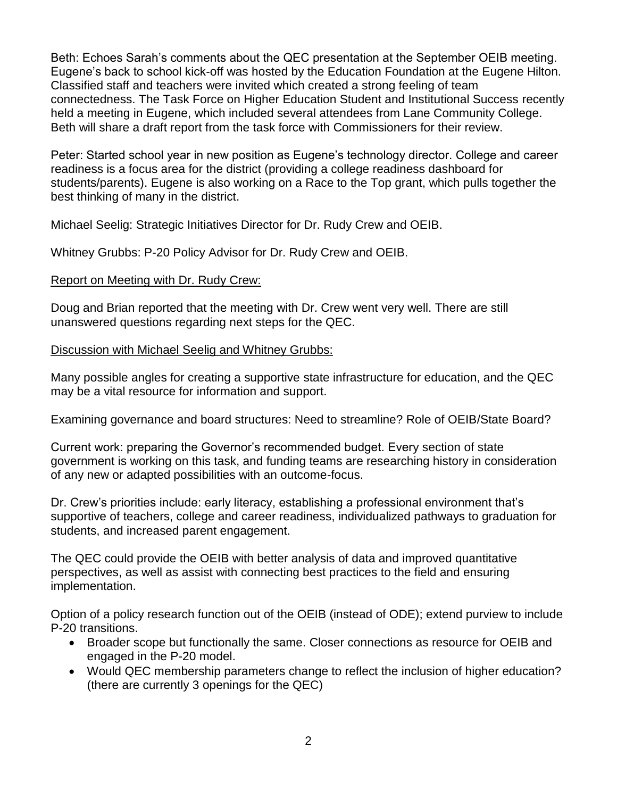Beth: Echoes Sarah's comments about the QEC presentation at the September OEIB meeting. Eugene's back to school kick-off was hosted by the Education Foundation at the Eugene Hilton. Classified staff and teachers were invited which created a strong feeling of team connectedness. The Task Force on Higher Education Student and Institutional Success recently held a meeting in Eugene, which included several attendees from Lane Community College. Beth will share a draft report from the task force with Commissioners for their review.

Peter: Started school year in new position as Eugene's technology director. College and career readiness is a focus area for the district (providing a college readiness dashboard for students/parents). Eugene is also working on a Race to the Top grant, which pulls together the best thinking of many in the district.

Michael Seelig: Strategic Initiatives Director for Dr. Rudy Crew and OEIB.

Whitney Grubbs: P-20 Policy Advisor for Dr. Rudy Crew and OEIB.

# Report on Meeting with Dr. Rudy Crew:

Doug and Brian reported that the meeting with Dr. Crew went very well. There are still unanswered questions regarding next steps for the QEC.

#### Discussion with Michael Seelig and Whitney Grubbs:

Many possible angles for creating a supportive state infrastructure for education, and the QEC may be a vital resource for information and support.

Examining governance and board structures: Need to streamline? Role of OEIB/State Board?

Current work: preparing the Governor's recommended budget. Every section of state government is working on this task, and funding teams are researching history in consideration of any new or adapted possibilities with an outcome-focus.

Dr. Crew's priorities include: early literacy, establishing a professional environment that's supportive of teachers, college and career readiness, individualized pathways to graduation for students, and increased parent engagement.

The QEC could provide the OEIB with better analysis of data and improved quantitative perspectives, as well as assist with connecting best practices to the field and ensuring implementation.

Option of a policy research function out of the OEIB (instead of ODE); extend purview to include P-20 transitions.

- Broader scope but functionally the same. Closer connections as resource for OEIB and engaged in the P-20 model.
- Would QEC membership parameters change to reflect the inclusion of higher education? (there are currently 3 openings for the QEC)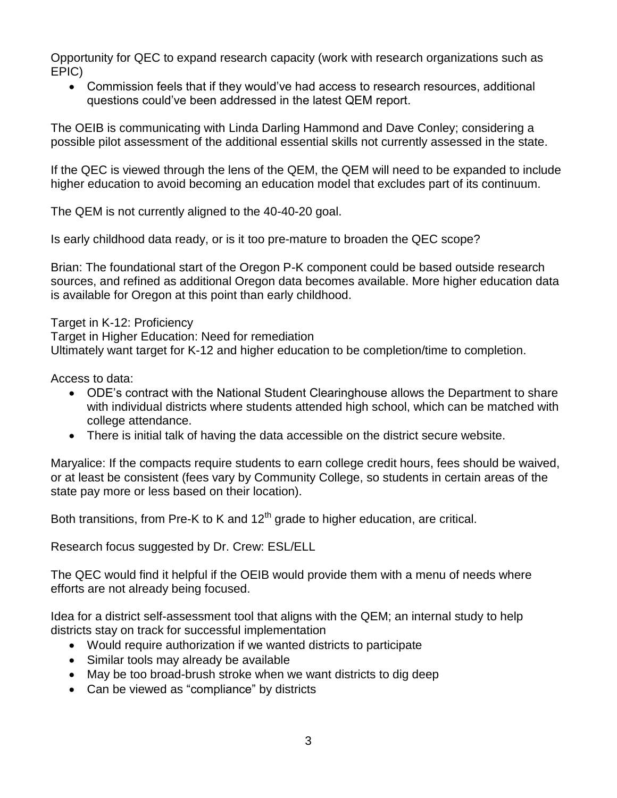Opportunity for QEC to expand research capacity (work with research organizations such as EPIC)

 Commission feels that if they would've had access to research resources, additional questions could've been addressed in the latest QEM report.

The OEIB is communicating with Linda Darling Hammond and Dave Conley; considering a possible pilot assessment of the additional essential skills not currently assessed in the state.

If the QEC is viewed through the lens of the QEM, the QEM will need to be expanded to include higher education to avoid becoming an education model that excludes part of its continuum.

The QEM is not currently aligned to the 40-40-20 goal.

Is early childhood data ready, or is it too pre-mature to broaden the QEC scope?

Brian: The foundational start of the Oregon P-K component could be based outside research sources, and refined as additional Oregon data becomes available. More higher education data is available for Oregon at this point than early childhood.

Target in K-12: Proficiency Target in Higher Education: Need for remediation Ultimately want target for K-12 and higher education to be completion/time to completion.

Access to data:

- ODE's contract with the National Student Clearinghouse allows the Department to share with individual districts where students attended high school, which can be matched with college attendance.
- There is initial talk of having the data accessible on the district secure website.

Maryalice: If the compacts require students to earn college credit hours, fees should be waived, or at least be consistent (fees vary by Community College, so students in certain areas of the state pay more or less based on their location).

Both transitions, from Pre-K to K and  $12<sup>th</sup>$  grade to higher education, are critical.

Research focus suggested by Dr. Crew: ESL/ELL

The QEC would find it helpful if the OEIB would provide them with a menu of needs where efforts are not already being focused.

Idea for a district self-assessment tool that aligns with the QEM; an internal study to help districts stay on track for successful implementation

- Would require authorization if we wanted districts to participate
- Similar tools may already be available
- May be too broad-brush stroke when we want districts to dig deep
- Can be viewed as "compliance" by districts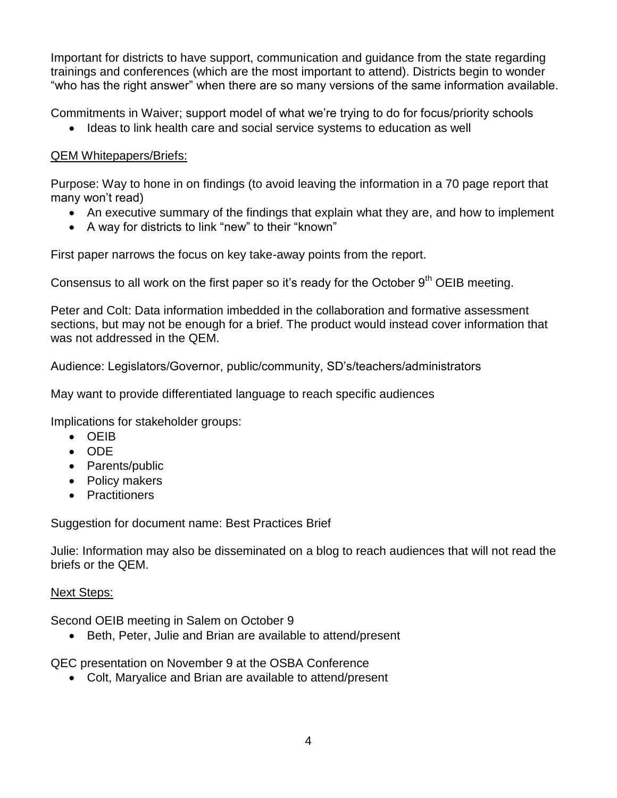Important for districts to have support, communication and guidance from the state regarding trainings and conferences (which are the most important to attend). Districts begin to wonder "who has the right answer" when there are so many versions of the same information available.

Commitments in Waiver; support model of what we're trying to do for focus/priority schools

• Ideas to link health care and social service systems to education as well

# QEM Whitepapers/Briefs:

Purpose: Way to hone in on findings (to avoid leaving the information in a 70 page report that many won't read)

- An executive summary of the findings that explain what they are, and how to implement
- A way for districts to link "new" to their "known"

First paper narrows the focus on key take-away points from the report.

Consensus to all work on the first paper so it's ready for the October  $9<sup>th</sup>$  OEIB meeting.

Peter and Colt: Data information imbedded in the collaboration and formative assessment sections, but may not be enough for a brief. The product would instead cover information that was not addressed in the QEM.

Audience: Legislators/Governor, public/community, SD's/teachers/administrators

May want to provide differentiated language to reach specific audiences

Implications for stakeholder groups:

- OEIB
- ODE
- Parents/public
- Policy makers
- Practitioners

Suggestion for document name: Best Practices Brief

Julie: Information may also be disseminated on a blog to reach audiences that will not read the briefs or the QEM.

# Next Steps:

Second OEIB meeting in Salem on October 9

• Beth, Peter, Julie and Brian are available to attend/present

QEC presentation on November 9 at the OSBA Conference

Colt, Maryalice and Brian are available to attend/present